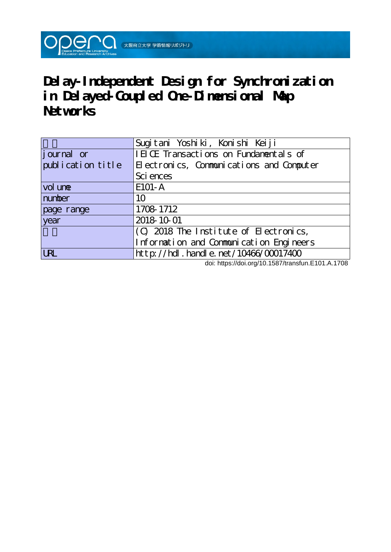

**Delay-Independent Design for Synchronization in Delayed-Coupled One-Dimensional Map Networks**

|                    | Sugitani Yoshiki, Konishi Keiji          |  |  |
|--------------------|------------------------------------------|--|--|
| <i>j</i> ournal or | IEICE Transactions on Fundamentals of    |  |  |
| publication title  | Electronics, Communications and Computer |  |  |
|                    | Sci ences                                |  |  |
| vol une            | E101-A                                   |  |  |
| number             | 10                                       |  |  |
| page range         | 1708 1712                                |  |  |
| year               | 2018 10 01                               |  |  |
|                    | (C) 2018 The Institute of Electronics,   |  |  |
|                    | Information and Communication Engineers  |  |  |
| <b>URL</b>         | http://hdl.handle.net/10466/00017400     |  |  |

doi: https://doi.org/10.1587/transfun.E101.A.1708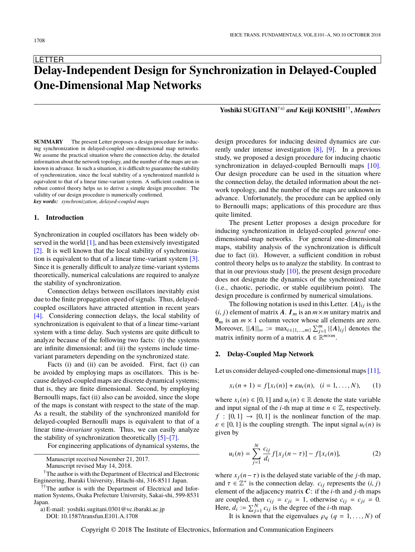# **LETTER Delay-Independent Design for Synchronization in Delayed-Coupled One-Dimensional Map Networks**

**SUMMARY** The present Letter proposes a design procedure for inducing synchronization in delayed-coupled one-dimensional map networks. We assume the practical situation where the connection delay, the detailed information about the network topology, and the number of the maps are unknown in advance. In such a situation, it is difficult to guarantee the stability of synchronization, since the local stability of a synchronized manifold is equivalent to that of a linear time-variant system. A sufficient condition in robust control theory helps us to derive a simple design procedure. The validity of our design procedure is numerically confirmed. *key words: synchronization, delayed-coupled maps*

#### **1. Introduction**

Synchronization in coupled oscillators has been widely ob-served in the world [\[1\],](#page-4-0) and has been extensively investigated [\[2\].](#page-4-1) It is well known that the local stability of synchronization is equivalent to that of a linear time-variant system [\[3\].](#page-5-0) Since it is generally difficult to analyze time-variant systems theoretically, numerical calculations are required to analyze the stability of synchronization.

Connection delays between oscillators inevitably exist due to the finite propagation speed of signals. Thus, delayedcoupled oscillators have attracted attention in recent years [\[4\].](#page-5-1) Considering connection delays, the local stability of synchronization is equivalent to that of a linear time-variant system with a time delay. Such systems are quite difficult to analyze because of the following two facts: (i) the systems are infinite dimensional; and (ii) the systems include timevariant parameters depending on the synchronized state.

Facts (i) and (ii) can be avoided. First, fact (i) can be avoided by employing maps as oscillators. This is because delayed-coupled maps are discrete dynamical systems; that is, they are finite dimensional. Second, by employing Bernoulli maps, fact (ii) also can be avoided, since the slope of the maps is constant with respect to the state of the map. As a result, the stability of the synchronized manifold for delayed-coupled Bernoulli maps is equivalent to that of a linear time-*invariant* system. Thus, we can easily analyze the stability of synchronization theoretically [\[5\]](#page-5-2)[–\[7\].](#page-5-3)

For engineering applications of dynamical systems, the

Manuscript received November 21, 2017.

Manuscript revised May 14, 2018.

†The author is with the Department of Electrical and Electronic Engineering, Ibaraki University, Hitachi-shi, 316-8511 Japan.

††The author is with the Department of Electrical and Information Systems, Osaka Prefecture University, Sakai-shi, 599-8531 Japan.

a) E-mail: yoshiki.sugitani.0301@vc.ibaraki.ac.jp DOI: 10.1587/transfun.E101.A.1708

**Yoshiki SUGITANI**†a) *and* **Keiji KONISHI**†† **,** *Members*

design procedures for inducing desired dynamics are currently under intense investigation [\[8\],](#page-5-4) [\[9\].](#page-5-5) In a previous study, we proposed a design procedure for inducing chaotic synchronization in delayed-coupled Bernoulli maps [\[10\].](#page-5-6) Our design procedure can be used in the situation where the connection delay, the detailed information about the network topology, and the number of the maps are unknown in advance. Unfortunately, the procedure can be applied only to Bernoulli maps; applications of this procedure are thus quite limited.

The present Letter proposes a design procedure for inducing synchronization in delayed-coupled *general* onedimensional-map networks. For general one-dimensional maps, stability analysis of the synchronization is difficult due to fact (ii). However, a sufficient condition in robust control theory helps us to analyze the stability. In contrast to that in our previous study  $[10]$ , the present design procedure does not designate the dynamics of the synchronized state (i.e., chaotic, periodic, or stable equilibrium point). The design procedure is confirmed by numerical simulations.

The following notation is used in this Letter.  $\{A\}_{ij}$  is the  $(i, j)$  element of matrix A.  $I_m$  is an  $m \times m$  unitary matrix and  $\mathbf{0}_m$  is an  $m \times 1$  column vector whose all elements are zero. Moreover,  $||A||_{\infty} := \max_{i \in \{1, ..., m\}} \sum_{j=1}^{m} |\{A\}_{ij}|$  denotes the matrix infinity norm of a matrix  $A \in \mathbb{R}^{m \times m}$ .

#### **2. Delay-Coupled Map Network**

Let us consider delayed-coupled one-dimensional maps [\[11\],](#page-5-7)

$$
x_i(n + 1) = f[x_i(n)] + \varepsilon u_i(n), \quad (i = 1, ..., N), \qquad (1)
$$

where  $x_i(n) \in [0, 1]$  and  $u_i(n) \in \mathbb{R}$  denote the state variable and input signal of the *i*-th map at time  $n \in \mathbb{Z}$ , respectively.  $f : [0, 1] \rightarrow [0, 1]$  is the nonlinear function of the map.  $\varepsilon \in [0, 1]$  is the coupling strength. The input signal  $u_i(n)$  is given by

$$
u_i(n) = \sum_{j=1}^{N} \frac{c_{ij}}{d_i} f[x_j(n-\tau)] - f[x_i(n)],
$$
 (2)

where  $x_j(n-\tau)$  is the delayed state variable of the *j*-th map, and  $\tau \in \mathbb{Z}^+$  is the connection delay.  $c_{ij}$  represents the  $(i, j)$ <br>element of the adjacency matrix  $C^+$  if the *i*-th and *i*-th mans element of the adjacency matrix C: if the *i*-th and *j*-th maps are coupled, then  $c_{ij} = c_{ji} = 1$ , otherwise  $c_{ij} = c_{ji} = 0$ . Here,  $d_i := \sum_{j=1}^{N} c_{ij}$  is the degree of the *i*-th map.

It is known that the eigenvalues  $\rho_q$  ( $q = 1, \ldots, N$ ) of

Copyright © 2018 The Institute of Electronics, Information and Communication Engineers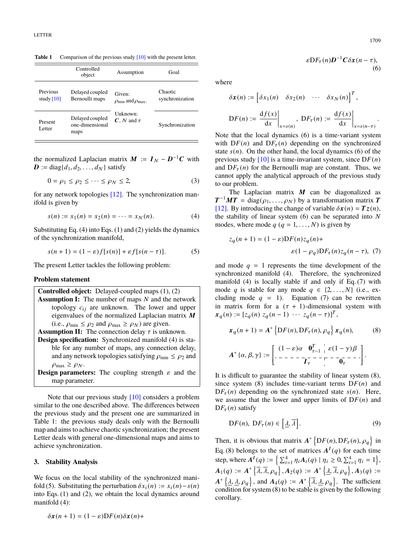**Table 1** Comparison of the previous study [\[10\]](#page-5-6) with the present letter.

|                          | Controlled<br>object                       | Assumption                                  | Goal                       |
|--------------------------|--------------------------------------------|---------------------------------------------|----------------------------|
| Previous<br>study $[10]$ | Delayed coupled<br>Bernoulli maps          | Given:<br>$\rho_{\min}$ and $\rho_{\max}$ . | Chaotic<br>synchronization |
| Present<br>Letter        | Delayed coupled<br>one-dimensional<br>maps | Unknown:<br>$C$ , N and $\tau$              | Synchronization            |

the normalized Laplacian matrix  $M := I_N - D^{-1}C$  with  $\mathbf{D} := \text{diag}\{d_1, d_2, \ldots, d_N\}$  satisfy

$$
0 = \rho_1 \le \rho_2 \le \dots \le \rho_N \le 2,\tag{3}
$$

for any network topologies [\[12\].](#page-5-8) The synchronization manifold is given by

$$
s(n) := x_1(n) = x_2(n) = \dots = x_N(n). \tag{4}
$$

Substituting Eq. (4) into Eqs. (1) and (2) yields the dynamics of the synchronization manifold,

$$
s(n+1) = (1 - \varepsilon)f[s(n)] + \varepsilon f[s(n-\tau)].
$$
 (5)

The present Letter tackles the following problem:

## **Problem statement**

**Controlled object:** Delayed-coupled maps (1), (2) **Assumption I:** The number of maps *N* and the network topology  $c_{ij}$  are unknown. The lower and upper eigenvalues of the normalized Laplacian matrix  $M$ (i.e.,  $\rho_{\min} \leq \rho_2$  and  $\rho_{\max} \geq \rho_N$ ) are given.

**Assumption II:** The connection delay  $\tau$  is unknown. **Design specification:** Synchronized manifold (4) is stable for any number of maps, any connection delay, and any network topologies satisfying  $\rho_{\min} \leq \rho_2$  and  $\rho_{\text{max}} \geq \rho_N$ .

**Design parameters:** The coupling strength  $\varepsilon$  and the map parameter.

Note that our previous study [\[10\]](#page-5-6) considers a problem similar to the one described above. The differences between the previous study and the present one are summarized in Table 1: the previous study deals only with the Bernoulli map and aims to achieve chaotic synchronization; the present Letter deals with general one-dimensional maps and aims to achieve synchronization.

# **3. Stability Analysis**

We focus on the local stability of the synchronized manifold (5). Substituting the perturbation  $\delta x_i(n) := x_i(n) - s(n)$ into Eqs. (1) and (2), we obtain the local dynamics around manifold (4):

$$
\delta x(n+1) = (1 - \varepsilon) DF(n) \delta x(n) +
$$

where

$$
\delta x(n) := \begin{bmatrix} \delta x_1(n) & \delta x_2(n) & \cdots & \delta x_N(n) \end{bmatrix}^T,
$$
  

$$
\text{D}F(n) := \frac{\mathrm{d}f(x)}{\mathrm{d}x} \bigg|_{x=s(n)}, \ \text{D}F_{\tau}(n) := \frac{\mathrm{d}f(x)}{\mathrm{d}x} \bigg|_{x=s(n-\tau)}.
$$

Note that the local dynamics (6) is a time-variant system with  $DF(n)$  and  $DF_{\tau}(n)$  depending on the synchronized state  $s(n)$ . On the other hand, the local dynamics (6) of the previous study  $[10]$  is a time-invariant system, since  $DF(n)$ and  $DF_\tau(n)$  for the Bernoulli map are constant. Thus, we cannot apply the analytical approach of the previous study to our problem.

The Laplacian matrix  $M$  can be diagonalized as  $T^{-1}MT = diag(\rho_1, ..., \rho_N)$  by a transformation matrix T<br>[12] By introducing the change of variable  $\delta x(n) - Tz(n)$ [\[12\].](#page-5-8) By introducing the change of variable  $\delta x(n) = Tz(n)$ , the stability of linear system (6) can be separated into *N* modes, where mode  $q$  ( $q = 1, \ldots, N$ ) is given by

$$
z_q(n+1) = (1 - \varepsilon)DF(n)z_q(n) +
$$
  

$$
\varepsilon(1 - \rho_q)DF_\tau(n)z_q(n - \tau), (7)
$$

and mode  $q = 1$  represents the time development of the synchronized manifold (4). Therefore, the synchronized manifold (4) is locally stable if and only if Eq. (7) with mode *q* is stable for any mode  $q \in \{2, ..., N\}$  (i.e., excluding mode  $q = 1$ ). Equation (7) can be rewritten in matrix form for a  $(\tau + 1)$ -dimensional system with  $x_q(n) := [z_q(n) z_q(n-1) \cdots z_q(n-\tau)]^T$ ,

x<sup>q</sup> (*n* + 1) = A ∗ ( <sup>D</sup>*F*(*n*), <sup>D</sup>*F*τ (*n*), ρ<sup>q</sup> ) <sup>x</sup><sup>q</sup> (*n*), (8) A ∗ {α, β, γ} :<sup>=</sup> (<sup>1</sup> <sup>−</sup> ε)α **<sup>0</sup>** T τ−1 ε(<sup>1</sup> <sup>−</sup> γ) β <sup>I</sup>τ **<sup>0</sup>**τ 

It is difficult to guarantee the stability of linear system (8), since system (8) includes time-variant terms  $DF(n)$  and  $DF_{\tau}(n)$  depending on the synchronized state *s*(*n*). Here, we assume that the lower and upper limits of  $DF(n)$  and  $DF_{\tau}(n)$  satisfy

$$
DF(n), DF_{\tau}(n) \in [\underline{\lambda}, \overline{\lambda}]. \tag{9}
$$

Then, it is obvious that matrix  $A^*$  {  $DF(n), DF_{\tau}(n), \rho_q$ in Eq. (8) belongs to the set of matrices  $A^{I}(q)$  for each time step, where  $A^{I}(q) := \left\{ \sum_{i=1}^{4} \eta_i A_i(q) \mid \eta_i \ge 0, \sum_{i=1}^{4} \eta_i = 1 \right\},\$  $A_1(q) := A^* \left\{ \overline{\lambda}, \overline{\lambda}, \rho_q \right\}, A_2(q) := A^* \left\{ \underline{\lambda}, \overline{\lambda}, \rho_q \right\}, A_3(q) :=$  $A^*$  { $\lambda, \lambda, \rho_q$ }, and  $A_4(q) := A^*$  { $\overline{\lambda}, \underline{\lambda}, \rho_q$ }. The sufficient condition for system (8) to be stable is given by the following condition for system (8) to be stable is given by the following corollary.

(6)

 $\varepsilon DF_\tau(n)D^{-1}C\delta x(n-\tau),$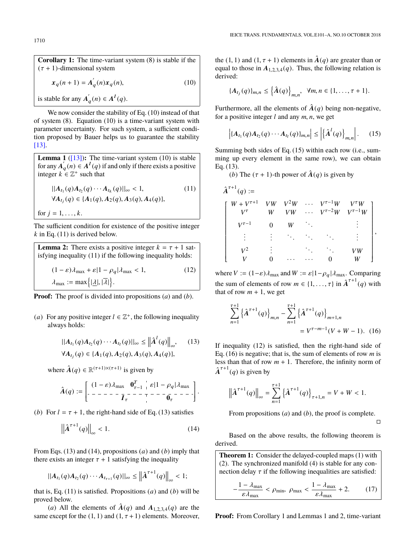**Corollary 1:** The time-variant system (8) is stable if the  $(\tau + 1)$ -dimensional system

$$
x_q(n+1) = A'_q(n)x_q(n),
$$
 (10)

is stable for any  $A'$  $'_{q}(n) \in A^{I}(q).$ 

We now consider the stability of Eq. (10) instead of that of system (8). Equation (10) is a time-variant system with parameter uncertainty. For such system, a sufficient condition proposed by Bauer helps us to guarantee the stability [\[13\].](#page-5-9)

**Lemma 1** ( $[13]$ ): The time-variant system (10) is stable for any  $\overline{A}'_c$  $q'(n) \in A^I(q)$  if and only if there exists a positive integer  $k \in \mathbb{Z}^+$  such that

$$
||A_{t_1}(q)A_{t_2}(q)\cdots A_{t_k}(q)||_{\infty} < 1,
$$
\n
$$
(11)
$$

$$
\forall A_{t_j}(q) \in \{A_1(q), A_2(q), A_3(q), A_4(q)\},\
$$

for  $j = 1, ..., k$ .

The sufficient condition for existence of the positive integer  $k$  in Eq. (11) is derived below.

**Lemma 2:** There exists a positive integer  $k = \tau + 1$  satisfying inequality (11) if the following inequality holds:  $(1 - \varepsilon)\lambda_{\text{max}} + \varepsilon |1 - \rho_q|\lambda_{\text{max}} < 1,$  (12)  $\lambda_{\text{max}} := \max\{|\underline{\lambda}|, |\overline{\lambda}|\}.$ 

**Proof:** The proof is divided into propositions (*a*) and (*b*).

(*a*) For any positive integer  $l \in \mathbb{Z}^+$ , the following inequality always holds:

$$
||A_{t_1}(q)A_{t_2}(q)\cdots A_{t_l}(q)||_{\infty} \le ||\hat{A}^l(q)||_{\infty}, \quad (13)
$$
  

$$
\forall A_{t_j}(q) \in \{A_1(q), A_2(q), A_3(q), A_4(q)\},
$$

where  $\hat{A}(q) \in \mathbb{R}^{(\tau+1)\times(\tau+1)}$  is given by

Aˆ (*q*) := (<sup>1</sup> <sup>−</sup> <sup>ε</sup>)λmax **<sup>0</sup>** T τ−1 <sup>ε</sup>|<sup>1</sup> <sup>−</sup> <sup>ρ</sup><sup>q</sup> <sup>|</sup>λmax <sup>I</sup>τ **<sup>0</sup>**τ 

(*b*) For  $l = \tau + 1$ , the right-hand side of Eq. (13) satisfies

$$
\left\| \hat{\boldsymbol{A}}^{\tau+1}(q) \right\|_{\infty} < 1. \tag{14}
$$

From Eqs. (13) and (14), propositions (*a*) and (*b*) imply that there exists an integer  $\tau + 1$  satisfying the inequality

$$
||A_{t_1}(q)A_{t_2}(q)\cdots A_{t_{\tau+1}}(q)||_{\infty}\leq ||\hat{A}^{\tau+1}(q)||_{\infty}<1;
$$

that is, Eq. (11) is satisfied. Propositions (*a*) and (*b*) will be proved below.

(*a*) All the elements of  $\hat{A}(q)$  and  $A_{1,2,3,4}(q)$  are the same except for the  $(1, 1)$  and  $(1, \tau + 1)$  elements. Moreover, the (1, 1) and (1,  $\tau$  + 1) elements in  $\hat{A}(q)$  are greater than or equal to those in  $A_{1,2,3,4}(q)$ . Thus, the following relation is derived:

$$
\{A_{t_j}(q)\}_{m,n} \leq \left\{\hat{A}(q)\right\}_{m,n}, \ \forall m,n \in \{1,\ldots,\tau+1\}.
$$

Furthermore, all the elements of  $\hat{A}(q)$  being non-negative, for a positive integer *<sup>l</sup>* and any *<sup>m</sup>*, *<sup>n</sup>*, we get

$$
\left| \{A_{t_1}(q)A_{t_2}(q)\cdots A_{t_l}(q)\}_{m,n} \right| \le \left| \{ \hat{A}^l(q) \}_{m,n} \right|.
$$
 (15)

Summing both sides of Eq. (15) within each row (i.e., summing up every element in the same row), we can obtain Eq. (13).

(*b*) The  $(\tau + 1)$ -th power of  $\hat{A}(q)$  is given by

$$
A^{\tau+1}(q) :=
$$
\n
$$
\begin{bmatrix}\nW + V^{\tau+1} & VW & V^2W & \cdots & V^{\tau-1}W & V^{\tau}W \\
V^{\tau} & W & VW & \cdots & V^{\tau-2}W & V^{\tau-1}W \\
V^{\tau-1} & 0 & W & \ddots & & \vdots \\
\vdots & \vdots & \ddots & \ddots & \ddots & \vdots \\
V^2 & \vdots & & \ddots & \ddots & VW \\
V & 0 & \cdots & \cdots & 0 & W\n\end{bmatrix},
$$

where  $V := (1 - \varepsilon) \lambda_{\text{max}}$  and  $W := \varepsilon |1 - \rho_q| \lambda_{\text{max}}$ . Comparing the sum of elements of row  $m \in \{1, ..., \tau\}$  in  $\hat{A}^{\tau+1}(q)$  with that of row  $m + 1$ , we get that of row  $m + 1$ , we get

$$
\sum_{n=1}^{\tau+1} {\hat{A}^{\tau+1}(q) \big|_{m,n} - \sum_{n=1}^{\tau+1} {\hat{A}^{\tau+1}(q) \big|_{m+1,n}}} = V^{\tau-m-1}(V+W-1). (16)
$$

If inequality (12) is satisfied, then the right-hand side of Eq. (16) is negative; that is, the sum of elements of row *m* is less than that of row  $m + 1$ . Therefore, the infinity norm of  $\hat{\boldsymbol{A}}^{\tau+1}(q)$  is given by

$$
\left\| \hat{\mathbf{A}}^{\tau+1}(q) \right\|_{\infty} = \sum_{n=1}^{\tau+1} \left\{ \hat{\mathbf{A}}^{\tau+1}(q) \right\}_{\tau+1,n} = V + W < 1.
$$

From propositions (*a*) and (*b*), the proof is complete.

 $\Box$ 

Based on the above results, the following theorem is derived.

**Theorem 1:** Consider the delayed-coupled maps (1) with (2). The synchronized manifold (4) is stable for any connection delay  $\tau$  if the following inequalities are satisfied:

$$
-\frac{1-\lambda_{\max}}{\varepsilon\lambda_{\max}} < \rho_{\min}, \ \rho_{\max} < \frac{1-\lambda_{\max}}{\varepsilon\lambda_{\max}} + 2. \tag{17}
$$

**Proof:** From Corollary 1 and Lemmas 1 and 2, time-variant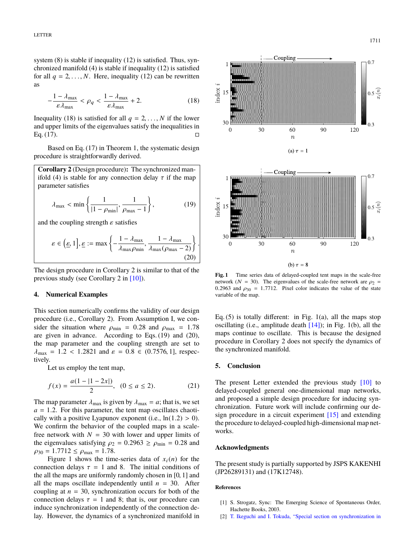system (8) is stable if inequality (12) is satisfied. Thus, synchronized manifold (4) is stable if inequality (12) is satisfied for all  $q = 2, \ldots, N$ . Here, inequality (12) can be rewritten as

$$
-\frac{1-\lambda_{\max}}{\varepsilon\lambda_{\max}} < \rho_q < \frac{1-\lambda_{\max}}{\varepsilon\lambda_{\max}} + 2. \tag{18}
$$

Inequality (18) is satisfied for all  $q = 2, \ldots, N$  if the lower and upper limits of the eigenvalues satisfy the inequalities in Eq. (17).

Based on Eq. (17) in Theorem 1, the systematic design procedure is straightforwardly derived.

**Corollary 2** (Design procedure)**:** The synchronized manifold (4) is stable for any connection delay  $\tau$  if the map parameter satisfies

$$
\lambda_{\max} < \min\left\{\frac{1}{|1 - \rho_{\min}|}, \frac{1}{\rho_{\max} - 1}\right\},\tag{19}
$$

and the coupling strength  $\varepsilon$  satisfies

$$
\varepsilon \in \left(\underline{\varepsilon}, 1\right], \underline{\varepsilon} := \max\left\{-\frac{1 - \lambda_{\max}}{\lambda_{\max} \rho_{\min}}, \frac{1 - \lambda_{\max}}{\lambda_{\max} (\rho_{\max} - 2)}\right\}
$$
(20)

The design procedure in Corollary 2 is similar to that of the previous study (see Corollary 2 in [\[10\]\)](#page-5-6).

## **4. Numerical Examples**

This section numerically confirms the validity of our design procedure (i.e., Corollary 2). From Assumption I, we consider the situation where  $\rho_{\text{min}} = 0.28$  and  $\rho_{\text{max}} = 1.78$ are given in advance. According to Eqs. (19) and (20), the map parameter and the coupling strength are set to  $\lambda_{\text{max}} = 1.2 < 1.2821$  and  $\varepsilon = 0.8 \in (0.7576, 1]$ , respectively.

Let us employ the tent map,

$$
f(x) = \frac{a(1 - |1 - 2x|)}{2}, (0 \le a \le 2).
$$
 (21)

The map parameter  $\lambda_{\text{max}}$  is given by  $\lambda_{\text{max}} = a$ ; that is, we set  $a = 1.2$ . For this parameter, the tent map oscillates chaotically with a positive Lyapunov exponent (i.e.,  $ln(1.2) > 0$ ). We confirm the behavior of the coupled maps in a scalefree network with  $N = 30$  with lower and upper limits of the eigenvalues satisfying  $\rho_2 = 0.2963 \ge \rho_{\text{min}} = 0.28$  and  $\rho_{30} = 1.7712 \le \rho_{\text{max}} = 1.78.$ 

Figure 1 shows the time-series data of  $x_i(n)$  for the connection delays  $\tau = 1$  and 8. The initial conditions of the all the maps are uniformly randomly chosen in [0, 1] and all the maps oscillate independently until  $n = 30$ . After coupling at  $n = 30$ , synchronization occurs for both of the connection delays  $\tau = 1$  and 8; that is, our procedure can induce synchronization independently of the connection delay. However, the dynamics of a synchronized manifold in



**Fig. 1** Time series data of delayed-coupled tent maps in the scale-free network ( $N = 30$ ). The eigenvalues of the scale-free network are  $\rho_2$  = 0.2963 and  $\rho_{30} = 1.7712$ . Pixel color indicates the value of the state variable of the map.

Eq.  $(5)$  is totally different: in Fig.  $1(a)$ , all the maps stop oscillating (i.e., amplitude death  $[14]$ ); in Fig. 1(b), all the maps continue to oscillate. This is because the designed procedure in Corollary 2 does not specify the dynamics of the synchronized manifold.

## **5. Conclusion**

The present Letter extended the previous study [\[10\]](#page-5-6) to delayed-coupled general one-dimensional map networks, and proposed a simple design procedure for inducing synchronization. Future work will include confirming our design procedure in a circuit experiment [\[15\]](#page-5-11) and extending the procedure to delayed-coupled high-dimensional map networks.

# **Acknowledgments**

The present study is partially supported by JSPS KAKENHI (JP26289131) and (17K12748).

#### **References**

- <span id="page-4-0"></span>[1] S. Strogatz, Sync: The Emerging Science of Spontaneous Order, Hachette Books, 2003.
- <span id="page-4-1"></span>[2] [T. Ikeguchi and I. Tokuda, "Special section on synchronization in](http://dx.doi.org/10.1587/nolta.3.112)